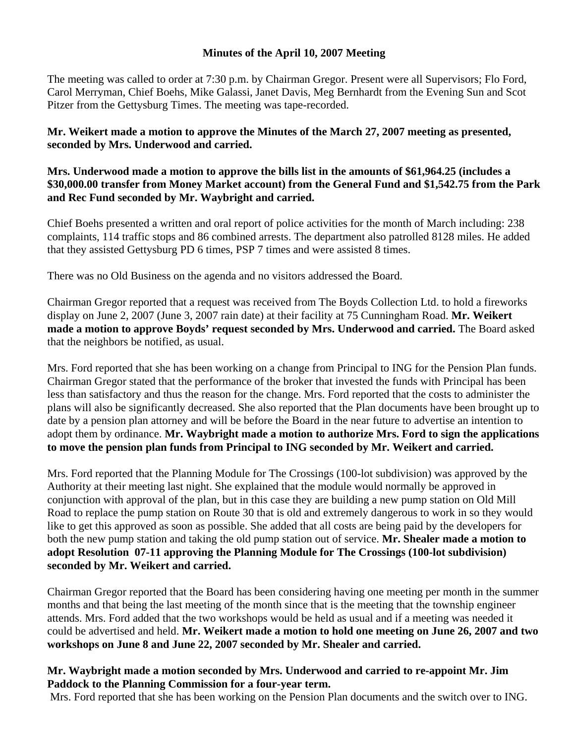## **Minutes of the April 10, 2007 Meeting**

The meeting was called to order at 7:30 p.m. by Chairman Gregor. Present were all Supervisors; Flo Ford, Carol Merryman, Chief Boehs, Mike Galassi, Janet Davis, Meg Bernhardt from the Evening Sun and Scot Pitzer from the Gettysburg Times. The meeting was tape-recorded.

**Mr. Weikert made a motion to approve the Minutes of the March 27, 2007 meeting as presented, seconded by Mrs. Underwood and carried.** 

## **Mrs. Underwood made a motion to approve the bills list in the amounts of \$61,964.25 (includes a \$30,000.00 transfer from Money Market account) from the General Fund and \$1,542.75 from the Park and Rec Fund seconded by Mr. Waybright and carried.**

Chief Boehs presented a written and oral report of police activities for the month of March including: 238 complaints, 114 traffic stops and 86 combined arrests. The department also patrolled 8128 miles. He added that they assisted Gettysburg PD 6 times, PSP 7 times and were assisted 8 times.

There was no Old Business on the agenda and no visitors addressed the Board.

Chairman Gregor reported that a request was received from The Boyds Collection Ltd. to hold a fireworks display on June 2, 2007 (June 3, 2007 rain date) at their facility at 75 Cunningham Road. **Mr. Weikert made a motion to approve Boyds' request seconded by Mrs. Underwood and carried.** The Board asked that the neighbors be notified, as usual.

Mrs. Ford reported that she has been working on a change from Principal to ING for the Pension Plan funds. Chairman Gregor stated that the performance of the broker that invested the funds with Principal has been less than satisfactory and thus the reason for the change. Mrs. Ford reported that the costs to administer the plans will also be significantly decreased. She also reported that the Plan documents have been brought up to date by a pension plan attorney and will be before the Board in the near future to advertise an intention to adopt them by ordinance. **Mr. Waybright made a motion to authorize Mrs. Ford to sign the applications to move the pension plan funds from Principal to ING seconded by Mr. Weikert and carried.** 

Mrs. Ford reported that the Planning Module for The Crossings (100-lot subdivision) was approved by the Authority at their meeting last night. She explained that the module would normally be approved in conjunction with approval of the plan, but in this case they are building a new pump station on Old Mill Road to replace the pump station on Route 30 that is old and extremely dangerous to work in so they would like to get this approved as soon as possible. She added that all costs are being paid by the developers for both the new pump station and taking the old pump station out of service. **Mr. Shealer made a motion to adopt Resolution 07-11 approving the Planning Module for The Crossings (100-lot subdivision) seconded by Mr. Weikert and carried.** 

Chairman Gregor reported that the Board has been considering having one meeting per month in the summer months and that being the last meeting of the month since that is the meeting that the township engineer attends. Mrs. Ford added that the two workshops would be held as usual and if a meeting was needed it could be advertised and held. **Mr. Weikert made a motion to hold one meeting on June 26, 2007 and two workshops on June 8 and June 22, 2007 seconded by Mr. Shealer and carried.** 

## **Mr. Waybright made a motion seconded by Mrs. Underwood and carried to re-appoint Mr. Jim Paddock to the Planning Commission for a four-year term.**

Mrs. Ford reported that she has been working on the Pension Plan documents and the switch over to ING.